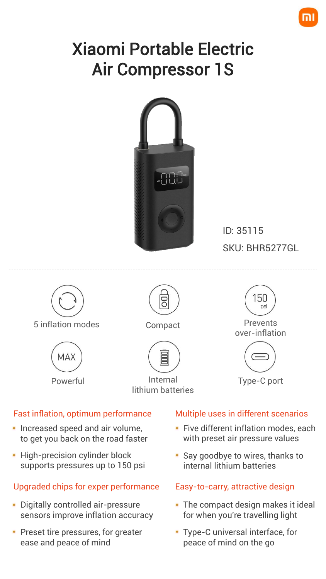# Xiaomi Portable Electric Air Compressor 1S



ID: 35115 SKU: BHR5277GL



5 inflation modes Compact Prevents





Powerful **Internal** lithium batteries



over-inflation



Type-C port

#### Fast inflation, optimum performance

- **Increased speed and air volume,** to get you back on the road faster
- High-precision cylinder block supports pressures up to 150 psi

### Upgraded chips for exper performance

- Digitally controlled air-pressure sensors improve inflation accuracy
- **Preset tire pressures, for greater** ease and peace of mind

#### Multiple uses in different scenarios

- **Five different inflation modes, each** with preset air pressure values
- Say goodbye to wires, thanks to internal lithium batteries

#### Easy-to-carry, attractive design

- The compact design makes it ideal for when you're travelling light
- Type-C universal interface, for peace of mind on the go